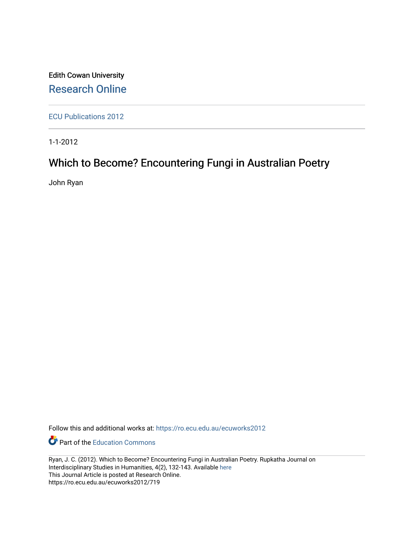Edith Cowan University [Research Online](https://ro.ecu.edu.au/) 

[ECU Publications 2012](https://ro.ecu.edu.au/ecuworks2012)

1-1-2012

# Which to Become? Encountering Fungi in Australian Poetry

John Ryan

Follow this and additional works at: [https://ro.ecu.edu.au/ecuworks2012](https://ro.ecu.edu.au/ecuworks2012?utm_source=ro.ecu.edu.au%2Fecuworks2012%2F719&utm_medium=PDF&utm_campaign=PDFCoverPages) 

**Part of the [Education Commons](http://network.bepress.com/hgg/discipline/784?utm_source=ro.ecu.edu.au%2Fecuworks2012%2F719&utm_medium=PDF&utm_campaign=PDFCoverPages)** 

Ryan, J. C. (2012). Which to Become? Encountering Fungi in Australian Poetry. Rupkatha Journal on Interdisciplinary Studies in Humanities, 4(2), 132-143. Available [here](http://rupkatha.com/v4n2-2.php)  This Journal Article is posted at Research Online. https://ro.ecu.edu.au/ecuworks2012/719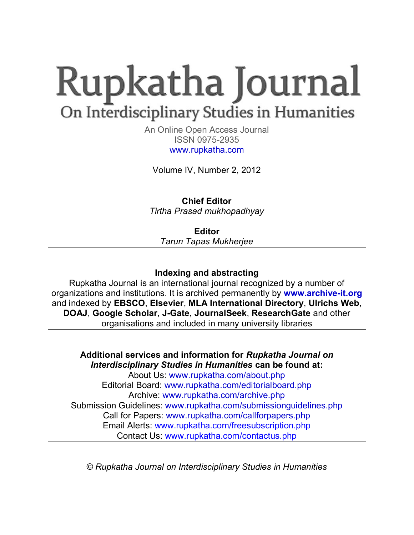# Rupkatha Journal On Interdisciplinary Studies in Humanities

An Online Open Access Journal ISSN 0975-2935 www.rupkatha.com

Volume IV, Number 2, 2012

**Chief Editor**  *Tirtha Prasad mukhopadhyay* 

**Editor**  *Tarun Tapas Mukherjee* 

## **Indexing and abstracting**

Rupkatha Journal is an international journal recognized by a number of organizations and institutions. It is archived permanently by **www.archive-it.org** and indexed by **EBSCO**, **Elsevier**, **MLA International Directory**, **Ulrichs Web**, **DOAJ**, **Google Scholar**, **J-Gate**, **JournalSeek**, **ResearchGate** and other organisations and included in many university libraries

### **Additional services and information for** *Rupkatha Journal on Interdisciplinary Studies in Humanities* **can be found at:**  About Us: www.rupkatha.com/about.php Editorial Board: www.rupkatha.com/editorialboard.php Archive: www.rupkatha.com/archive.php Submission Guidelines: www.rupkatha.com/submissionguidelines.php Call for Papers: www.rupkatha.com/callforpapers.php Email Alerts: www.rupkatha.com/freesubscription.php

Contact Us: www.rupkatha.com/contactus.php

*© Rupkatha Journal on Interdisciplinary Studies in Humanities*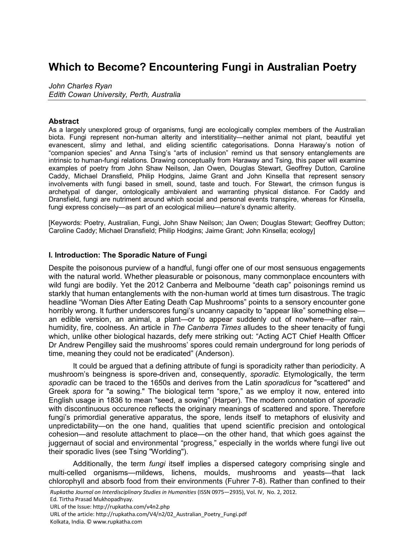# **Which to Become? Encountering Fungi in Australian Poetry**

*John Charles Ryan Edith Cowan University, Perth, Australia* 

#### **Abstract**

As a largely unexplored group of organisms, fungi are ecologically complex members of the Australian biota. Fungi represent non-human alterity and interstitiality—neither animal not plant, beautiful yet evanescent, slimy and lethal, and eliding scientific categorisations. Donna Haraway's notion of "companion species" and Anna Tsing's "arts of inclusion" remind us that sensory entanglements are intrinsic to human-fungi relations. Drawing conceptually from Haraway and Tsing, this paper will examine examples of poetry from John Shaw Neilson, Jan Owen, Douglas Stewart, Geoffrey Dutton, Caroline Caddy, Michael Dransfield, Philip Hodgins, Jaime Grant and John Kinsella that represent sensory involvements with fungi based in smell, sound, taste and touch. For Stewart, the crimson fungus is archetypal of danger, ontologically ambivalent and warranting physical distance. For Caddy and Dransfield, fungi are nutriment around which social and personal events transpire, whereas for Kinsella, fungi express concisely—as part of an ecological milieu—nature's dynamic alterity.

[Keywords: Poetry, Australian, Fungi, John Shaw Neilson; Jan Owen; Douglas Stewart; Geoffrey Dutton; Caroline Caddy; Michael Dransfield; Philip Hodgins; Jaime Grant; John Kinsella; ecology]

#### **I. Introduction: The Sporadic Nature of Fungi**

Despite the poisonous purview of a handful, fungi offer one of our most sensuous engagements with the natural world. Whether pleasurable or poisonous, many commonplace encounters with wild fungi are bodily. Yet the 2012 Canberra and Melbourne "death cap" poisonings remind us starkly that human entanglements with the non-human world at times turn disastrous. The tragic headline "Woman Dies After Eating Death Cap Mushrooms" points to a sensory encounter gone horribly wrong. It further underscores fungi's uncanny capacity to "appear like" something else an edible version, an animal, a plant—or to appear suddenly out of nowhere—after rain, humidity, fire, coolness. An article in *The Canberra Times* alludes to the sheer tenacity of fungi which, unlike other biological hazards, defy mere striking out: "Acting ACT Chief Health Officer Dr Andrew Pengilley said the mushrooms' spores could remain underground for long periods of time, meaning they could not be eradicated" (Anderson).

It could be argued that a defining attribute of fungi is sporadicity rather than periodicity. A mushroom's beingness is spore-driven and, consequently, *sporadic*. Etymologically, the term *sporadic* can be traced to the 1650s and derives from the Latin *sporadicus* for "scattered" and Greek *spora* for "a sowing." The biological term "spore," as we employ it now, entered into English usage in 1836 to mean "seed, a sowing" (Harper). The modern connotation of *sporadic* with discontinuous occurence reflects the originary meanings of scattered and spore. Therefore fungi's primordial generative apparatus, the spore, lends itself to metaphors of elusivity and unpredictability—on the one hand, qualities that upend scientific precision and ontological cohesion—and resolute attachment to place—on the other hand, that which goes against the juggernaut of social and environmental "progress," especially in the worlds where fungi live out their sporadic lives (see Tsing "Worlding").

Additionally, the term *fungi* itself implies a dispersed category comprising single and multi-celled organisms—mildews, lichens, moulds, mushrooms and yeasts—that lack chlorophyll and absorb food from their environments (Fuhrer 7-8). Rather than confined to their

*Rupkatha Journal on Interdisciplinary Studies in Humanities* (ISSN 0975—2935), Vol. IV, No. 2, 2012.

Ed. Tirtha Prasad Mukhopadhyay.

URL of the Issue: http://rupkatha.com/v4n2.php

URL of the article: http://rupkatha.com/V4/n2/02\_Australian\_Poetry\_Fungi.pdf Kolkata, India. © www.rupkatha.com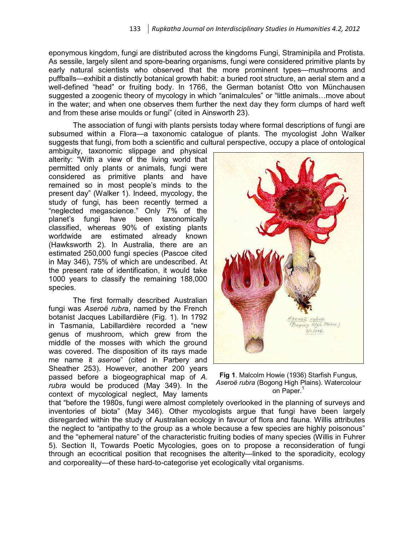eponymous kingdom, fungi are distributed across the kingdoms Fungi, Straminipila and Protista. As sessile, largely silent and spore-bearing organisms, fungi were considered primitive plants by early natural scientists who observed that the more prominent types—mushrooms and puffballs—exhibit a distinctly botanical growth habit: a buried root structure, an aerial stem and a well-defined "head" or fruiting body. In 1766, the German botanist Otto von Münchausen suggested a zoogenic theory of mycology in which "animalcules" or "little animals...move about in the water; and when one observes them further the next day they form clumps of hard weft and from these arise moulds or fungi" (cited in Ainsworth 23).

The association of fungi with plants persists today where formal descriptions of fungi are subsumed within a Flora—a taxonomic catalogue of plants. The mycologist John Walker suggests that fungi, from both a scientific and cultural perspective, occupy a place of ontological

ambiguity, taxonomic slippage and physical alterity: "With a view of the living world that permitted only plants or animals, fungi were considered as primitive plants and have remained so in most people's minds to the present day" (Walker 1). Indeed, mycology, the study of fungi, has been recently termed a "neglected megascience." Only 7% of the planet's fungi have been taxonomically classified, whereas 90% of existing plants worldwide are estimated already known (Hawksworth 2). In Australia, there are an estimated 250,000 fungi species (Pascoe cited in May 346), 75% of which are undescribed. At the present rate of identification, it would take 1000 years to classify the remaining 188,000 species.

The first formally described Australian fungi was *Aseroë rubra*, named by the French botanist Jacques Labillardière (Fig. 1). In 1792 in Tasmania, Labillardière recorded a "new genus of mushroom, which grew from the middle of the mosses with which the ground was covered. The disposition of its rays made me name it *aseroe*" (cited in Parbery and Sheather 253). However, another 200 years passed before a biogeographical map of *A. rubra* would be produced (May 349). In the context of mycological neglect, May laments



**Fig 1**. Malcolm Howie (1936) Starfish Fungus, *Aseroë rubra* (Bogong High Plains). Watercolour on Paper.<sup>1</sup>

that "before the 1980s, fungi were almost completely overlooked in the planning of surveys and inventories of biota" (May 346). Other mycologists argue that fungi have been largely disregarded within the study of Australian ecology in favour of flora and fauna. Willis attributes the neglect to "antipathy to the group as a whole because a few species are highly poisonous" and the "ephemeral nature" of the characteristic fruiting bodies of many species (Willis in Fuhrer 5). Section II, Towards Poetic Mycologies, goes on to propose a reconsideration of fungi through an ecocritical position that recognises the alterity—linked to the sporadicity, ecology and corporeality—of these hard-to-categorise yet ecologically vital organisms.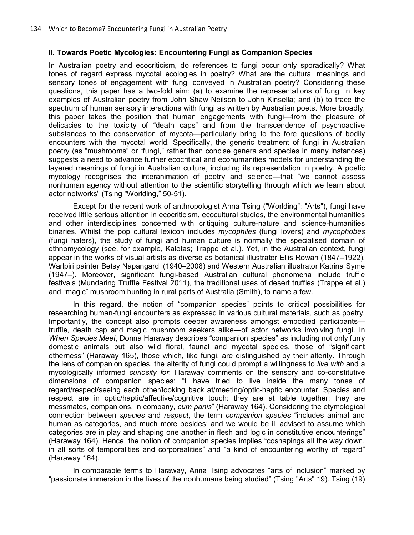#### **II. Towards Poetic Mycologies: Encountering Fungi as Companion Species**

In Australian poetry and ecocriticism, do references to fungi occur only sporadically? What tones of regard express mycotal ecologies in poetry? What are the cultural meanings and sensory tones of engagement with fungi conveyed in Australian poetry? Considering these questions, this paper has a two-fold aim: (a) to examine the representations of fungi in key examples of Australian poetry from John Shaw Neilson to John Kinsella; and (b) to trace the spectrum of human sensory interactions with fungi as written by Australian poets. More broadly, this paper takes the position that human engagements with fungi—from the pleasure of delicacies to the toxicity of "death caps" and from the transcendence of psychoactive substances to the conservation of mycota—particularly bring to the fore questions of bodily encounters with the mycotal world. Specifically, the generic treatment of fungi in Australian poetry (as "mushrooms" or "fungi," rather than concise genera and species in many instances) suggests a need to advance further ecocritical and ecohumanities models for understanding the layered meanings of fungi in Australian culture, including its representation in poetry. A poetic mycology recognises the interanimation of poetry and science—that "we cannot assess nonhuman agency without attention to the scientific storytelling through which we learn about actor networks" (Tsing "Worlding," 50-51).

Except for the recent work of anthropologist Anna Tsing ("Worlding"; "Arts"), fungi have received little serious attention in ecocriticism, ecocultural studies, the environmental humanities and other interdisciplines concerned with critiquing culture-nature and science-humanities binaries. Whilst the pop cultural lexicon includes *mycophiles* (fungi lovers) and *mycophobes* (fungi haters), the study of fungi and human culture is normally the specialised domain of ethnomycology (see, for example, Kalotas; Trappe et al.). Yet, in the Australian context, fungi appear in the works of visual artists as diverse as botanical illustrator Ellis Rowan (1847–1922), Warlpiri painter Betsy Napangardi (1940–2008) and Western Australian illustrator Katrina Syme (1947–). Moreover, significant fungi-based Australian cultural phenomena include truffle festivals (Mundaring Truffle Festival 2011), the traditional uses of desert truffles (Trappe et al.) and "magic" mushroom hunting in rural parts of Australia (Smith), to name a few.

In this regard, the notion of "companion species" points to critical possibilities for researching human-fungi encounters as expressed in various cultural materials, such as poetry. Importantly, the concept also prompts deeper awareness amongst embodied participants truffle, death cap and magic mushroom seekers alike—of actor networks involving fungi. In *When Species Meet*, Donna Haraway describes "companion species" as including not only furry domestic animals but also wild floral, faunal and mycotal species, those of "significant otherness" (Haraway 165), those which, like fungi, are distinguished by their alterity. Through the lens of companion species, the alterity of fungi could prompt a willingness to *live with* and a mycologically informed *curiosity for*. Haraway comments on the sensory and co-constitutive dimensions of companion species: "I have tried to live inside the many tones of regard/respect/seeing each other/looking back at/meeting/optic-haptic encounter. Species and respect are in optic/haptic/affective/cognitive touch: they are at table together; they are messmates, companions, in company, *cum panis*" (Haraway 164). Considering the etymological connection between *species* and *respect*, the term *companion species* "includes animal and human as categories, and much more besides: and we would be ill advised to assume which categories are in play and shaping one another in flesh and logic in constitutive encounterings" (Haraway 164). Hence, the notion of companion species implies "coshapings all the way down, in all sorts of temporalities and corporealities" and "a kind of encountering worthy of regard" (Haraway 164).

In comparable terms to Haraway, Anna Tsing advocates "arts of inclusion" marked by "passionate immersion in the lives of the nonhumans being studied" (Tsing "Arts" 19). Tsing (19)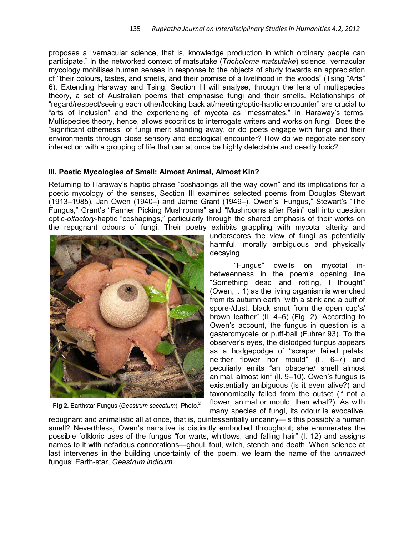proposes a "vernacular science, that is, knowledge production in which ordinary people can participate." In the networked context of matsutake (*Tricholoma matsutake*) science, vernacular mycology mobilises human senses in response to the objects of study towards an appreciation of "their colours, tastes, and smells, and their promise of a livelihood in the woods" (Tsing "Arts" 6). Extending Haraway and Tsing, Section III will analyse, through the lens of multispecies theory, a set of Australian poems that emphasise fungi and their smells. Relationships of "regard/respect/seeing each other/looking back at/meeting/optic-haptic encounter" are crucial to "arts of inclusion" and the experiencing of mycota as "messmates," in Haraway's terms. Multispecies theory, hence, allows ecocritics to interrogate writers and works on fungi. Does the "significant otherness" of fungi merit standing away, or do poets engage with fungi and their environments through close sensory and ecological encounter? How do we negotiate sensory interaction with a grouping of life that can at once be highly delectable and deadly toxic?

#### **III. Poetic Mycologies of Smell: Almost Animal, Almost Kin?**

Returning to Haraway's haptic phrase "coshapings all the way down" and its implications for a poetic mycology of the senses, Section III examines selected poems from Douglas Stewart (1913–1985), Jan Owen (1940–) and Jaime Grant (1949–). Owen's "Fungus," Stewart's "The Fungus," Grant's "Farmer Picking Mushrooms" and "Mushrooms after Rain" call into question optic-*olfactory*-haptic "coshapings," particularly through the shared emphasis of their works on the repugnant odours of fungi. Their poetry exhibits grappling with mycotal alterity and



**Fig 2.** Earthstar Fungus (*Geastrum saccatum*). Photo.<sup>2</sup>

underscores the view of fungi as potentially harmful, morally ambiguous and physically decaying.

"Fungus" dwells on mycotal inbetweenness in the poem's opening line "Something dead and rotting, I thought" (Owen, l. 1) as the living organism is wrenched from its autumn earth "with a stink and a puff of spore-/dust, black smut from the open cup's/ brown leather" (ll. 4–6) (Fig. 2). According to Owen's account, the fungus in question is a gasteromycete or puff-ball (Fuhrer 93). To the observer's eyes, the dislodged fungus appears as a hodgepodge of "scraps/ failed petals, neither flower nor mould" (ll. 6–7) and peculiarly emits "an obscene/ smell almost animal, almost kin" (ll. 9–10). Owen's fungus is existentially ambiguous (is it even alive?) and taxonomically failed from the outset (if not a flower, animal or mould, then what?). As with many species of fungi, its odour is evocative,

repugnant and animalistic all at once, that is, quintessentially uncanny—is this possibly a human smell? Neverthless, Owen's narrative is distinctly embodied throughout; she enumerates the possible folkloric uses of the fungus "for warts, whitlows, and falling hair" (l. 12) and assigns names to it with nefarious connotations—ghoul, foul, witch, stench and death. When science at last intervenes in the building uncertainty of the poem, we learn the name of the *unnamed* fungus: Earth-star, *Geastrum indicum*.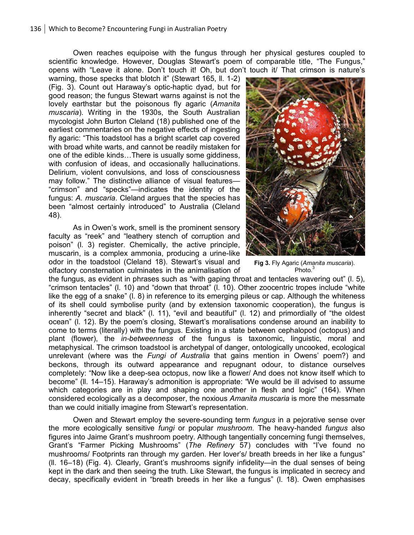Owen reaches equipoise with the fungus through her physical gestures coupled to scientific knowledge. However, Douglas Stewart's poem of comparable title, "The Fungus," opens with "Leave it alone. Don't touch it! Oh, but don't touch it/ That crimson is nature's

warning, those specks that blotch it" (Stewart 165, ll. 1-2) (Fig. 3). Count out Haraway's optic-haptic dyad, but for good reason; the fungus Stewart warns against is not the lovely earthstar but the poisonous fly agaric (*Amanita muscaria*). Writing in the 1930s, the South Australian mycologist John Burton Cleland (18) published one of the earliest commentaries on the negative effects of ingesting fly agaric: "This toadstool has a bright scarlet cap covered with broad white warts, and cannot be readily mistaken for one of the edible kinds…There is usually some giddiness, with confusion of ideas, and occasionally hallucinations. Delirium, violent convulsions, and loss of consciousness may follow." The distinctive alliance of visual features— "crimson" and "specks"—indicates the identity of the fungus: *A. muscaria*. Cleland argues that the species has been "almost certainly introduced" to Australia (Cleland 48).

As in Owen's work, smell is the prominent sensory faculty as "reek" and "leathery stench of corruption and poison" (l. 3) register. Chemically, the active principle, muscarin, is a complex ammonia, producing a urine-like odor in the toadstool (Cleland 18). Stewart's visual and olfactory consternation culminates in the animalisation of



**Fig 3.** Fly Agaric (*Amanita muscaria*). Photo<sup>3</sup>

the fungus, as evident in phrases such as "with gaping throat and tentacles wavering out" (l. 5), "crimson tentacles" (l. 10) and "down that throat" (l. 10). Other zoocentric tropes include "white like the egg of a snake" (l. 8) in reference to its emerging pileus or cap. Although the whiteness of its shell could symbolise purity (and by extension taxonomic cooperation), the fungus is inherently "secret and black" (l. 11), "evil and beautiful" (l. 12) and primordially of "the oldest ocean" (l. 12). By the poem's closing, Stewart's moralisations condense around an inability to come to terms (literally) with the fungus. Existing in a state between cephalopod (octopus) and plant (flower), the *in-betweenness* of the fungus is taxonomic, linguistic, moral and metaphysical. The crimson toadstool is archetypal of danger, ontologically uncooked, ecological unrelevant (where was the *Fungi of Australia* that gains mention in Owens' poem?) and beckons, through its outward appearance and repugnant odour, to distance ourselves completely: "Now like a deep-sea octopus, now like a flower/ And does not know itself which to become" (ll. 14–15). Haraway's admonition is appropriate: "We would be ill advised to assume which categories are in play and shaping one another in flesh and logic" (164). When considered ecologically as a decomposer, the noxious *Amanita muscaria* is more the messmate than we could initially imagine from Stewart's representation.

Owen and Stewart employ the severe-sounding term *fungus* in a pejorative sense over the more ecologically sensitive *fungi* or popular *mushroom*. The heavy-handed *fungus* also figures into Jaime Grant's mushroom poetry. Although tangentially concerning fungi themselves, Grant's "Farmer Picking Mushrooms" (*The Refinery* 57) concludes with "I've found no mushrooms/ Footprints ran through my garden. Her lover's/ breath breeds in her like a fungus" (ll. 16–18) (Fig. 4). Clearly, Grant's mushrooms signify infidelity—in the dual senses of being kept in the dark and then seeing the truth. Like Stewart, the fungus is implicated in secrecy and decay, specifically evident in "breath breeds in her like a fungus" (l. 18). Owen emphasises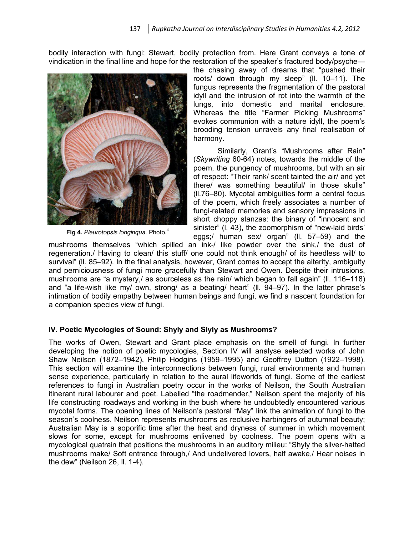bodily interaction with fungi; Stewart, bodily protection from. Here Grant conveys a tone of vindication in the final line and hope for the restoration of the speaker's fractured body/psyche—



**Fig 4.** *Pleurotopsis longinqua*. Photo.<sup>4</sup>

the chasing away of dreams that "pushed their roots/ down through my sleep" (ll. 10–11). The fungus represents the fragmentation of the pastoral idyll and the intrusion of rot into the warmth of the lungs, into domestic and marital enclosure. Whereas the title "Farmer Picking Mushrooms" evokes communion with a nature idyll, the poem's brooding tension unravels any final realisation of harmony.

Similarly, Grant's "Mushrooms after Rain" (*Skywriting* 60-64) notes, towards the middle of the poem, the pungency of mushrooms, but with an air of respect: "Their rank/ scent tainted the air/ and yet there/ was something beautiful/ in those skulls" (ll.76–80). Mycotal ambiguities form a central focus of the poem, which freely associates a number of fungi-related memories and sensory impressions in short choppy stanzas: the binary of "innocent and sinister" (l. 43), the zoomorphism of "new-laid birds' eggs;/ human sex/ organ" (ll. 57–59) and the

mushrooms themselves "which spilled an ink-/ like powder over the sink,/ the dust of regeneration./ Having to clean/ this stuff/ one could not think enough/ of its heedless will/ to survival" (ll. 85–92). In the final analysis, however, Grant comes to accept the alterity, ambiguity and perniciousness of fungi more gracefully than Stewart and Owen. Despite their intrusions, mushrooms are "a mystery,/ as sourceless as the rain/ which began to fall again" (ll. 116–118) and "a life-wish like my/ own, strong/ as a beating/ heart" (ll. 94–97). In the latter phrase's intimation of bodily empathy between human beings and fungi, we find a nascent foundation for a companion species view of fungi.

#### **IV. Poetic Mycologies of Sound: Shyly and Slyly as Mushrooms?**

The works of Owen, Stewart and Grant place emphasis on the smell of fungi. In further developing the notion of poetic mycologies, Section IV will analyse selected works of John Shaw Neilson (1872–1942), Philip Hodgins (1959–1995) and Geoffrey Dutton (1922–1998). This section will examine the interconnections between fungi, rural environments and human sense experience, particularly in relation to the aural lifeworlds of fungi. Some of the earliest references to fungi in Australian poetry occur in the works of Neilson, the South Australian itinerant rural labourer and poet. Labelled "the roadmender," Neilson spent the majority of his life constructing roadways and working in the bush where he undoubtedly encountered various mycotal forms. The opening lines of Neilson's pastoral "May" link the animation of fungi to the season's coolness. Neilson represents mushrooms as reclusive harbingers of autumnal beauty; Australian May is a soporific time after the heat and dryness of summer in which movement slows for some, except for mushrooms enlivened by coolness. The poem opens with a mycological quatrain that positions the mushrooms in an auditory milieu: "Shyly the silver-hatted mushrooms make/ Soft entrance through,/ And undelivered lovers, half awake,/ Hear noises in the dew" (Neilson 26, ll. 1-4).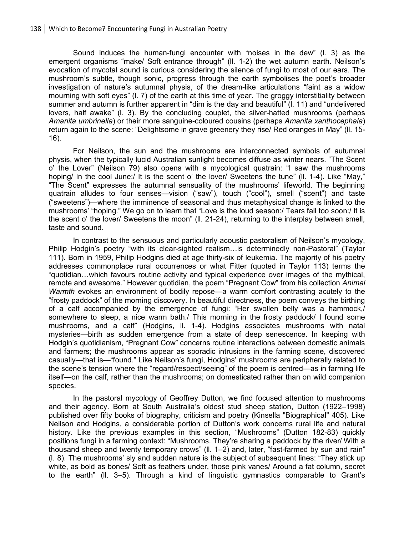Sound induces the human-fungi encounter with "noises in the dew" (l. 3) as the emergent organisms "make/ Soft entrance through" (ll. 1-2) the wet autumn earth. Neilson's evocation of mycotal sound is curious considering the silence of fungi to most of our ears. The mushroom's subtle, though sonic, progress through the earth symbolises the poet's broader investigation of nature's autumnal physis, of the dream-like articulations "faint as a widow mourning with soft eyes" (l. 7) of the earth at this time of year. The groggy interstitiality between summer and autumn is further apparent in "dim is the day and beautiful" (l. 11) and "undelivered lovers, half awake" (l. 3). By the concluding couplet, the silver-hatted mushrooms (perhaps *Amanita umbrinella*) or their more sanguine-coloured cousins (perhaps *Amanita xanthocephala*) return again to the scene: "Delightsome in grave greenery they rise/ Red oranges in May" (ll. 15- 16).

For Neilson, the sun and the mushrooms are interconnected symbols of autumnal physis, when the typically lucid Australian sunlight becomes diffuse as winter nears. "The Scent o' the Lover" (Neilson 79) also opens with a mycological quatrain: "I saw the mushrooms hoping/ In the cool June:/ It is the scent o' the lover/ Sweetens the tune" (II. 1-4). Like "May," "The Scent" expresses the autumnal sensuality of the mushrooms' lifeworld. The beginning quatrain alludes to four senses—vision ("saw"), touch ("cool"), smell ("scent") and taste ("sweetens")—where the imminence of seasonal and thus metaphysical change is linked to the mushrooms' "hoping." We go on to learn that "Love is the loud season:/ Tears fall too soon:/ It is the scent o' the lover/ Sweetens the moon" (ll. 21-24), returning to the interplay between smell, taste and sound.

In contrast to the sensuous and particularly acoustic pastoralism of Neilson's mycology, Philip Hodgin's poetry "with its clear-sighted realism…is determinedly non-Pastoral" (Taylor 111). Born in 1959, Philip Hodgins died at age thirty-six of leukemia. The majority of his poetry addresses commonplace rural occurrences or what Fitter (quoted in Taylor 113) terms the "quotidian…which favours routine activity and typical experience over images of the mythical, remote and awesome." However quotidian, the poem "Pregnant Cow" from his collection *Animal Warmth* evokes an environment of bodily repose—a warm comfort contrasting acutely to the "frosty paddock" of the morning discovery. In beautiful directness, the poem conveys the birthing of a calf accompanied by the emergence of fungi: "Her swollen belly was a hammock,/ somewhere to sleep, a nice warm bath./ This morning in the frosty paddock/ I found some mushrooms, and a calf" (Hodgins, ll. 1-4). Hodgins associates mushrooms with natal mysteries—birth as sudden emergence from a state of deep senescence. In keeping with Hodgin's quotidianism, "Pregnant Cow" concerns routine interactions between domestic animals and farmers; the mushrooms appear as sporadic intrusions in the farming scene, discovered casually—that is—"found." Like Neilson's fungi, Hodgins' mushrooms are peripherally related to the scene's tension where the "regard/respect/seeing" of the poem is centred—as in farming life itself—on the calf, rather than the mushrooms; on domesticated rather than on wild companion species.

In the pastoral mycology of Geoffrey Dutton, we find focused attention to mushrooms and their agency. Born at South Australia's oldest stud sheep station, Dutton (1922–1998) published over fifty books of biography, criticism and poetry (Kinsella "Biographical" 405). Like Neilson and Hodgins, a considerable portion of Dutton's work concerns rural life and natural history. Like the previous examples in this section, "Mushrooms" (Dutton 182-83) quickly positions fungi in a farming context: "Mushrooms. They're sharing a paddock by the river/ With a thousand sheep and twenty temporary crows" (ll. 1–2) and, later, "fast-farmed by sun and rain" (l. 8). The mushrooms' sly and sudden nature is the subject of subsequent lines: "They stick up white, as bold as bones/ Soft as feathers under, those pink vanes/ Around a fat column, secret to the earth" (ll. 3–5). Through a kind of linguistic gymnastics comparable to Grant's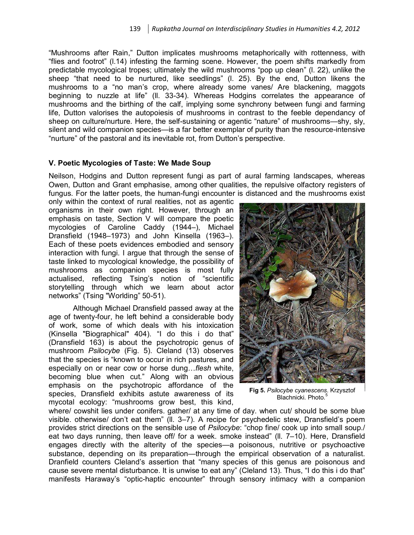"Mushrooms after Rain," Dutton implicates mushrooms metaphorically with rottenness, with "flies and footrot" (l.14) infesting the farming scene. However, the poem shifts markedly from predictable mycological tropes; ultimately the wild mushrooms "pop up clean" (l. 22), unlike the sheep "that need to be nurtured, like seedlings" (l. 25). By the end, Dutton likens the mushrooms to a "no man's crop, where already some vanes/ Are blackening, maggots beginning to nuzzle at life" (ll. 33-34). Whereas Hodgins correlates the appearance of mushrooms and the birthing of the calf, implying some synchrony between fungi and farming life, Dutton valorises the autopoiesis of mushrooms in contrast to the feeble dependancy of sheep on culture/nurture. Here, the self-sustaining or agentic "nature" of mushrooms—shy, sly, silent and wild companion species—is a far better exemplar of purity than the resource-intensive "nurture" of the pastoral and its inevitable rot, from Dutton's perspective.

#### **V. Poetic Mycologies of Taste: We Made Soup**

Neilson, Hodgins and Dutton represent fungi as part of aural farming landscapes, whereas Owen, Dutton and Grant emphasise, among other qualities, the repulsive olfactory registers of fungus. For the latter poets, the human-fungi encounter is distanced and the mushrooms exist

only within the context of rural realities, not as agentic organisms in their own right. However, through an emphasis on taste, Section V will compare the poetic mycologies of Caroline Caddy (1944–), Michael Dransfield (1948–1973) and John Kinsella (1963–). Each of these poets evidences embodied and sensory interaction with fungi. I argue that through the sense of taste linked to mycological knowledge, the possibility of mushrooms as companion species is most fully actualised, reflecting Tsing's notion of "scientific storytelling through which we learn about actor networks" (Tsing "Worlding" 50-51).

Although Michael Dransfield passed away at the age of twenty-four, he left behind a considerable body of work, some of which deals with his intoxication (Kinsella "Biographical" 404). "I do this i do that" (Dransfield 163) is about the psychotropic genus of mushroom *Psilocybe* (Fig. 5). Cleland (13) observes that the species is "known to occur in rich pastures, and especially on or near cow or horse dung…*flesh* white, becoming blue when cut." Along with an obvious emphasis on the psychotropic affordance of the species, Dransfield exhibits astute awareness of its mycotal ecology: "mushrooms grow best, this kind,



**Fig 5.** *Psilocybe cyanescens*. Krzysztof Blachnicki. Photo.<sup>5</sup>

where/ cowshit lies under conifers. gather/ at any time of day. when cut/ should be some blue visible. otherwise/ don't eat them" (ll. 3–7). A recipe for psychedelic stew, Dransfield's poem provides strict directions on the sensible use of *Psilocybe*: "chop fine/ cook up into small soup./ eat two days running, then leave off/ for a week. smoke instead" (ll. 7–10). Here, Dransfield engages directly with the alterity of the species—a poisonous, nutritive or psychoactive substance, depending on its preparation—through the empirical observation of a naturalist. Dranfield counters Cleland's assertion that "many species of this genus are poisonous and cause severe mental disturbance. It is unwise to eat any" (Cleland 13). Thus, "I do this i do that" manifests Haraway's "optic-haptic encounter" through sensory intimacy with a companion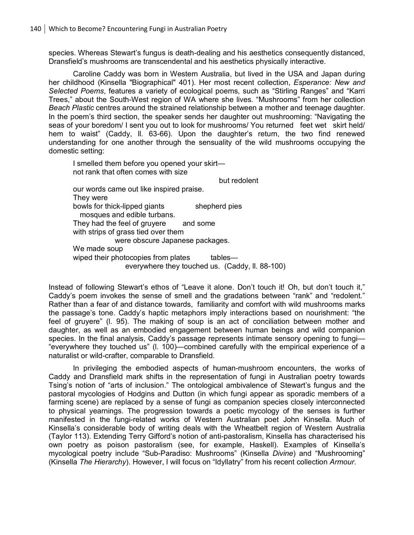species. Whereas Stewart's fungus is death-dealing and his aesthetics consequently distanced, Dransfield's mushrooms are transcendental and his aesthetics physically interactive.

Caroline Caddy was born in Western Australia, but lived in the USA and Japan during her childhood (Kinsella "Biographical" 401). Her most recent collection, *Esperance: New and Selected Poems*, features a variety of ecological poems, such as "Stirling Ranges" and "Karri Trees," about the South-West region of WA where she lives. "Mushrooms" from her collection *Beach Plastic* centres around the strained relationship between a mother and teenage daughter. In the poem's third section, the speaker sends her daughter out mushrooming: "Navigating the seas of your boredom/ I sent you out to look for mushrooms/ You returned feet wet skirt held/ hem to waist" (Caddy, ll. 63-66). Upon the daughter's return, the two find renewed understanding for one another through the sensuality of the wild mushrooms occupying the domestic setting:

 I smelled them before you opened your skirt not rank that often comes with size but redolent our words came out like inspired praise. They were bowls for thick-lipped giants shepherd pies mosques and edible turbans. They had the feel of gruyere and some with strips of grass tied over them were obscure Japanese packages. We made soup wiped their photocopies from plates tables everywhere they touched us. (Caddy, ll. 88-100)

Instead of following Stewart's ethos of "Leave it alone. Don't touch it! Oh, but don't touch it," Caddy's poem invokes the sense of smell and the gradations between "rank" and "redolent." Rather than a fear of and distance towards, familiarity and comfort with wild mushrooms marks the passage's tone. Caddy's haptic metaphors imply interactions based on nourishment: "the feel of gruyere" (l. 95). The making of soup is an act of conciliation between mother and daughter, as well as an embodied engagement between human beings and wild companion species. In the final analysis, Caddy's passage represents intimate sensory opening to fungi— "everywhere they touched us" (l. 100)—combined carefully with the empirical experience of a naturalist or wild-crafter, comparable to Dransfield.

In privileging the embodied aspects of human-mushroom encounters, the works of Caddy and Dransfield mark shifts in the representation of fungi in Australian poetry towards Tsing's notion of "arts of inclusion." The ontological ambivalence of Stewart's fungus and the pastoral mycologies of Hodgins and Dutton (in which fungi appear as sporadic members of a farming scene) are replaced by a sense of fungi as companion species closely interconnected to physical yearnings. The progression towards a poetic mycology of the senses is further manifested in the fungi-related works of Western Australian poet John Kinsella. Much of Kinsella's considerable body of writing deals with the Wheatbelt region of Western Australia (Taylor 113). Extending Terry Gifford's notion of anti-pastoralism, Kinsella has characterised his own poetry as poison pastoralism (see, for example, Haskell). Examples of Kinsella's mycological poetry include "Sub-Paradiso: Mushrooms" (Kinsella *Divine*) and "Mushrooming" (Kinsella *The Hierarchy*). However, I will focus on "Idyllatry" from his recent collection *Armour*.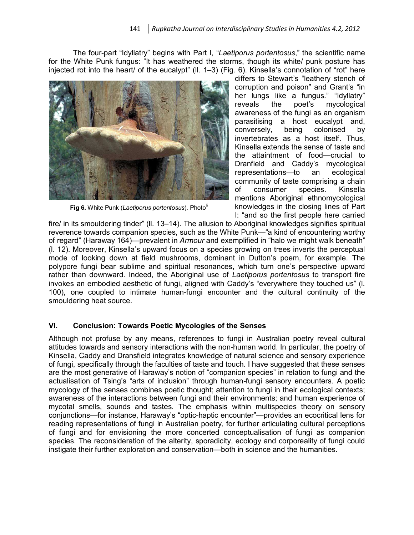The four-part "Idyllatry" begins with Part I, "*Laetiporus portentosus*," the scientific name for the White Punk fungus: "It has weathered the storms, though its white/ punk posture has injected rot into the heart/ of the eucalypt" (ll. 1–3) (Fig. 6). Kinsella's connotation of "rot" here



**Fig 6.** White Punk (*Laetiporus portentosus*). Photo<sup>6</sup>

differs to Stewart's "leathery stench of corruption and poison" and Grant's "in her lungs like a fungus." "Idyllatry" reveals the poet's mycological awareness of the fungi as an organism parasitising a host eucalypt and, conversely, being colonised by invertebrates as a host itself. Thus, Kinsella extends the sense of taste and the attaintment of food—crucial to Dranfield and Caddy's mycological representations—to an ecological community of taste comprising a chain of consumer species. Kinsella mentions Aboriginal ethnomycological knowledges in the closing lines of Part I: "and so the first people here carried

fire/ in its smouldering tinder" (ll. 13–14). The allusion to Aboriginal knowledges signifies spiritual reverence towards companion species, such as the White Punk—"a kind of encountering worthy of regard" (Haraway 164)—prevalent in *Armour* and exemplified in "halo we might walk beneath" (l. 12). Moreover, Kinsella's upward focus on a species growing on trees inverts the perceptual mode of looking down at field mushrooms, dominant in Dutton's poem, for example. The polypore fungi bear sublime and spiritual resonances, which turn one's perspective upward rather than downward. Indeed, the Aboriginal use of *Laetiporus portentosus* to transport fire invokes an embodied aesthetic of fungi, aligned with Caddy's "everywhere they touched us" (l. 100), one coupled to intimate human-fungi encounter and the cultural continuity of the smouldering heat source.

#### **VI. Conclusion: Towards Poetic Mycologies of the Senses**

Although not profuse by any means, references to fungi in Australian poetry reveal cultural attitudes towards and sensory interactions with the non-human world. In particular, the poetry of Kinsella, Caddy and Dransfield integrates knowledge of natural science and sensory experience of fungi, specifically through the faculties of taste and touch. I have suggested that these senses are the most generative of Haraway's notion of "companion species" in relation to fungi and the actualisation of Tsing's "arts of inclusion" through human-fungi sensory encounters. A poetic mycology of the senses combines poetic thought; attention to fungi in their ecological contexts; awareness of the interactions between fungi and their environments; and human experience of mycotal smells, sounds and tastes. The emphasis within multispecies theory on sensory conjunctions—for instance, Haraway's "optic-haptic encounter"—provides an ecocritical lens for reading representations of fungi in Australian poetry, for further articulating cultural perceptions of fungi and for envisioning the more concerted conceptualisation of fungi as companion species. The reconsideration of the alterity, sporadicity, ecology and corporeality of fungi could instigate their further exploration and conservation—both in science and the humanities.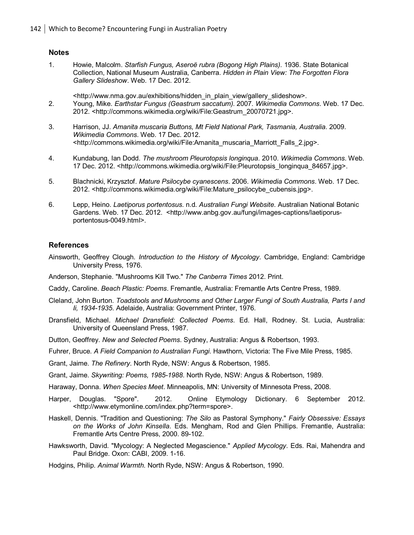#### **Notes**

- 1. Howie, Malcolm. *Starfish Fungus, Aseroë rubra (Bogong High Plains).* 1936. State Botanical Collection, National Museum Australia, Canberra. *Hidden in Plain View: The Forgotten Flora Gallery Slideshow*. Web. 17 Dec. 2012.
	- <http://www.nma.gov.au/exhibitions/hidden\_in\_plain\_view/gallery\_slideshow>.
- 2. Young, Mike. *Earthstar Fungus (Geastrum saccatum).* 2007. *Wikimedia Commons*. Web. 17 Dec. 2012. <http://commons.wikimedia.org/wiki/File:Geastrum\_20070721.jpg>.
- 3. Harrison, JJ. *Amanita muscaria Buttons, Mt Field National Park, Tasmania, Australia*. 2009.  *Wikimedia Commons*. Web. 17 Dec. 2012. <http://commons.wikimedia.org/wiki/File:Amanita\_muscaria\_Marriott\_Falls\_2.jpg>.
- 4. Kundabung, Ian Dodd. *The mushroom Pleurotopsis longinqua*. 2010. *Wikimedia Commons*. Web. 17 Dec. 2012. <http://commons.wikimedia.org/wiki/File:Pleurotopsis\_longinqua\_84657.jpg>.
- 5. Blachnicki, Krzysztof. *Mature Psilocybe cyanescens*. 2006. *Wikimedia Commons*. Web. 17 Dec. 2012. <http://commons.wikimedia.org/wiki/File:Mature\_psilocybe\_cubensis.jpg>.
- 6. Lepp, Heino. *Laetiporus portentosus*. n.d. *Australian Fungi Website*. Australian National Botanic Gardens. Web. 17 Dec. 2012. <http://www.anbg.gov.au/fungi/images-captions/laetiporusportentosus-0049.html>.

#### **References**

- Ainsworth, Geoffrey Clough. *Introduction to the History of Mycology*. Cambridge, England: Cambridge University Press, 1976.
- Anderson, Stephanie. "Mushrooms Kill Two." *The Canberra Times* 2012. Print.
- Caddy, Caroline. *Beach Plastic: Poems*. Fremantle, Australia: Fremantle Arts Centre Press, 1989.
- Cleland, John Burton. *Toadstools and Mushrooms and Other Larger Fungi of South Australia, Parts I and Ii, 1934-1935*. Adelaide, Australia: Government Printer, 1976.
- Dransfield, Michael. *Michael Dransfield: Collected Poems*. Ed. Hall, Rodney. St. Lucia, Australia: University of Queensland Press, 1987.
- Dutton, Geoffrey. *New and Selected Poems*. Sydney, Australia: Angus & Robertson, 1993.
- Fuhrer, Bruce. *A Field Companion to Australian Fungi*. Hawthorn, Victoria: The Five Mile Press, 1985.
- Grant, Jaime. *The Refinery*. North Ryde, NSW: Angus & Robertson, 1985.
- Grant, Jaime. *Skywriting: Poems, 1985-1988*. North Ryde, NSW: Angus & Robertson, 1989.
- Haraway, Donna. *When Species Meet*. Minneapolis, MN: University of Minnesota Press, 2008.
- Harper, Douglas. "Spore". 2012. Online Etymology Dictionary. 6 September 2012. <http://www.etymonline.com/index.php?term=spore>.
- Haskell, Dennis. "Tradition and Questioning: *The Silo* as Pastoral Symphony." *Fairly Obsessive: Essays on the Works of John Kinsella*. Eds. Mengham, Rod and Glen Phillips. Fremantle, Australia: Fremantle Arts Centre Press, 2000. 89-102.
- Hawksworth, David. "Mycology: A Neglected Megascience." *Applied Mycology*. Eds. Rai, Mahendra and Paul Bridge. Oxon: CABI, 2009. 1-16.
- Hodgins, Philip. *Animal Warmth*. North Ryde, NSW: Angus & Robertson, 1990.